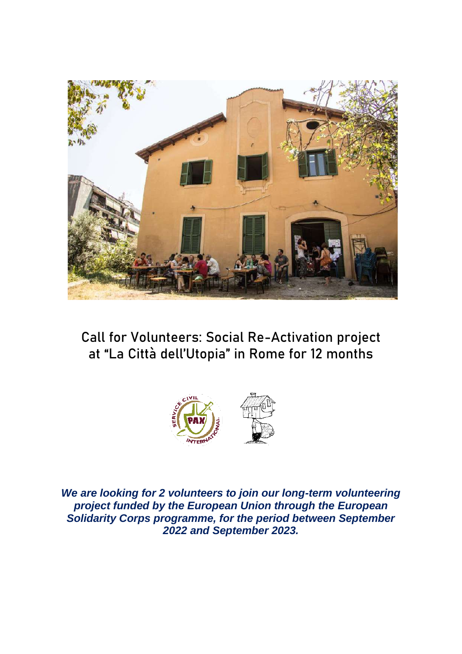

# **Call for Volunteers: Social Re-Activation project at "La Città dell'Utopia" in Rome for 12 months**



*We are looking for 2 volunteers to join our long-term volunteering project funded by the European Union through the European Solidarity Corps programme, for the period between September 2022 and September 2023.*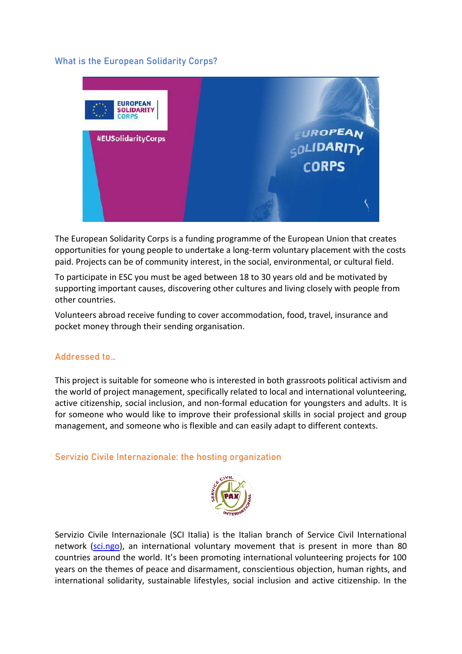### **What is the European Solidarity Corps?**



The European Solidarity Corps is a funding programme of the European Union that creates opportunities for young people to undertake a long-term voluntary placement with the costs paid. Projects can be of community interest, in the social, environmental, or cultural field.

To participate in ESC you must be aged between 18 to 30 years old and be motivated by supporting important causes, discovering other cultures and living closely with people from other countries.

Volunteers abroad receive funding to cover accommodation, food, travel, insurance and pocket money through their sending organisation.

### **Addressed to…**

This project is suitable for someone who is interested in both grassroots political activism and the world of project management, specifically related to local and international volunteering, active citizenship, social inclusion, and non-formal education for youngsters and adults. It is for someone who would like to improve their professional skills in social project and group management, and someone who is flexible and can easily adapt to different contexts.

**Servizio Civile Internazionale: the hosting organization**



Servizio Civile Internazionale (SCI Italia) is the Italian branch of Service Civil International network [\(sci.ngo\)](http://www.sci.ngo/), an international voluntary movement that is present in more than 80 countries around the world. It's been promoting international volunteering projects for 100 years on the themes of peace and disarmament, conscientious objection, human rights, and international solidarity, sustainable lifestyles, social inclusion and active citizenship. In the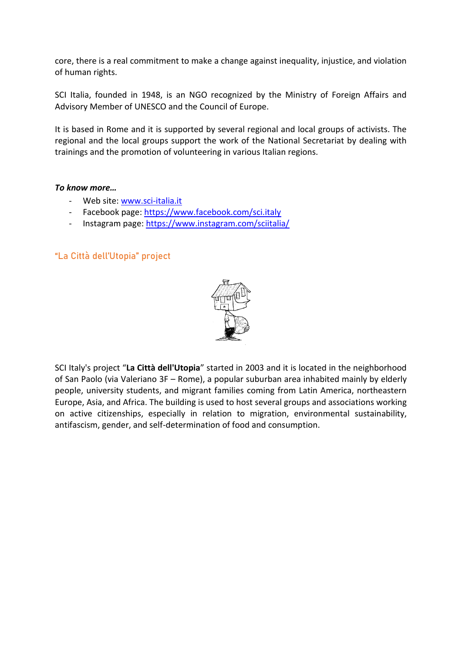core, there is a real commitment to make a change against inequality, injustice, and violation of human rights.

SCI Italia, founded in 1948, is an NGO recognized by the Ministry of Foreign Affairs and Advisory Member of UNESCO and the Council of Europe.

It is based in Rome and it is supported by several regional and local groups of activists. The regional and the local groups support the work of the National Secretariat by dealing with trainings and the promotion of volunteering in various Italian regions.

### *To know more…*

- Web site: [www.sci-italia.it](http://www.sci-italia.it/)
- Facebook page:<https://www.facebook.com/sci.italy>
- Instagram page:<https://www.instagram.com/sciitalia/>

# **"La Città dell'Utopia" project**



SCI Italy's project "**La Città dell'Utopia**" started in 2003 and it is located in the neighborhood of San Paolo (via Valeriano 3F – Rome), a popular suburban area inhabited mainly by elderly people, university students, and migrant families coming from Latin America, northeastern Europe, Asia, and Africa. The building is used to host several groups and associations working on active citizenships, especially in relation to migration, environmental sustainability, antifascism, gender, and self-determination of food and consumption.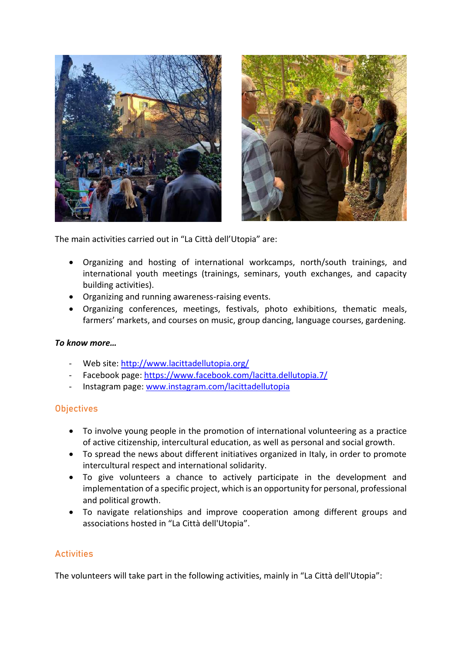



The main activities carried out in "La Città dell'Utopia" are:

- Organizing and hosting of international workcamps, north/south trainings, and international youth meetings (trainings, seminars, youth exchanges, and capacity building activities).
- Organizing and running awareness-raising events.
- Organizing conferences, meetings, festivals, photo exhibitions, thematic meals, farmers' markets, and courses on music, group dancing, language courses, gardening.

### *To know more…*

- Web site:<http://www.lacittadellutopia.org/>
- Facebook page:<https://www.facebook.com/lacitta.dellutopia.7/>
- Instagram page: [www.instagram.com/lacittadellutopia](http://www.instagram.com/lacittadellutopia)

### **Objectives**

- To involve young people in the promotion of international volunteering as a practice of active citizenship, intercultural education, as well as personal and social growth.
- To spread the news about different initiatives organized in Italy, in order to promote intercultural respect and international solidarity.
- To give volunteers a chance to actively participate in the development and implementation of a specific project, which is an opportunity for personal, professional and political growth.
- To navigate relationships and improve cooperation among different groups and associations hosted in "La Città dell'Utopia".

# **Activities**

The volunteers will take part in the following activities, mainly in "La Città dell'Utopia":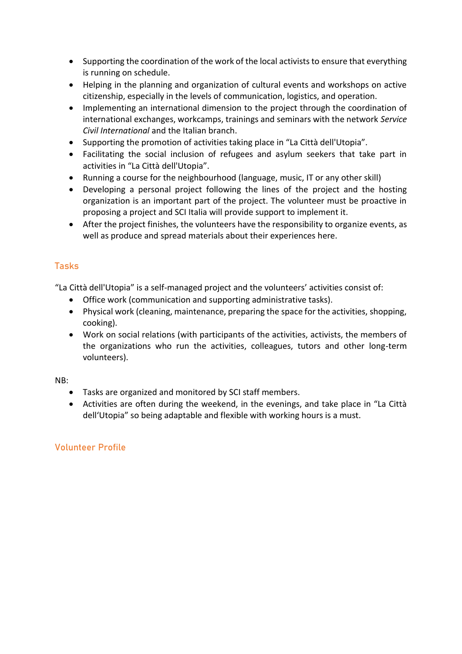- Supporting the coordination of the work of the local activists to ensure that everything is running on schedule.
- Helping in the planning and organization of cultural events and workshops on active citizenship, especially in the levels of communication, logistics, and operation.
- Implementing an international dimension to the project through the coordination of international exchanges, workcamps, trainings and seminars with the network *Service Civil International* and the Italian branch.
- Supporting the promotion of activities taking place in "La Città dell'Utopia".
- Facilitating the social inclusion of refugees and asylum seekers that take part in activities in "La Città dell'Utopia".
- Running a course for the neighbourhood (language, music, IT or any other skill)
- Developing a personal project following the lines of the project and the hosting organization is an important part of the project. The volunteer must be proactive in proposing a project and SCI Italia will provide support to implement it.
- After the project finishes, the volunteers have the responsibility to organize events, as well as produce and spread materials about their experiences here.

# **Tasks**

"La Città dell'Utopia" is a self-managed project and the volunteers' activities consist of:

- Office work (communication and supporting administrative tasks).
- Physical work (cleaning, maintenance, preparing the space for the activities, shopping, cooking).
- Work on social relations (with participants of the activities, activists, the members of the organizations who run the activities, colleagues, tutors and other long-term volunteers).

### NB:

- Tasks are organized and monitored by SCI staff members.
- Activities are often during the weekend, in the evenings, and take place in "La Città dell'Utopia" so being adaptable and flexible with working hours is a must.

# **Volunteer Profile**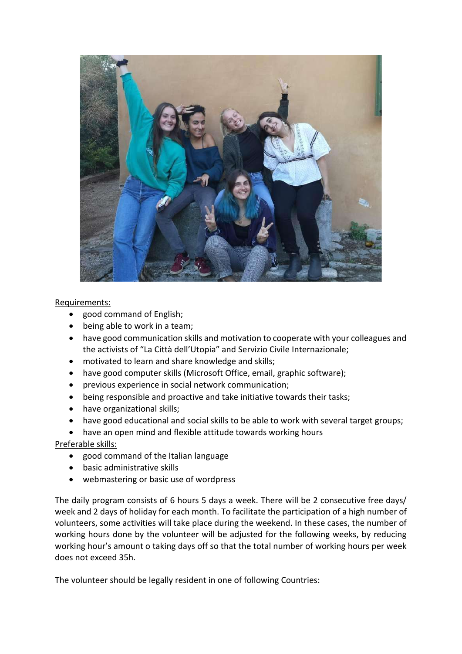

### Requirements:

- good command of English;
- being able to work in a team;
- have good communication skills and motivation to cooperate with your colleagues and the activists of "La Città dell'Utopia" and Servizio Civile Internazionale;
- motivated to learn and share knowledge and skills;
- have good computer skills (Microsoft Office, email, graphic software);
- previous experience in social network communication;
- being responsible and proactive and take initiative towards their tasks;
- have organizational skills;
- have good educational and social skills to be able to work with several target groups;
- have an open mind and flexible attitude towards working hours

### Preferable skills:

- good command of the Italian language
- basic administrative skills
- webmastering or basic use of wordpress

The daily program consists of 6 hours 5 days a week. There will be 2 consecutive free days/ week and 2 days of holiday for each month. To facilitate the participation of a high number of volunteers, some activities will take place during the weekend. In these cases, the number of working hours done by the volunteer will be adjusted for the following weeks, by reducing working hour's amount o taking days off so that the total number of working hours per week does not exceed 35h.

The volunteer should be legally resident in one of following Countries: